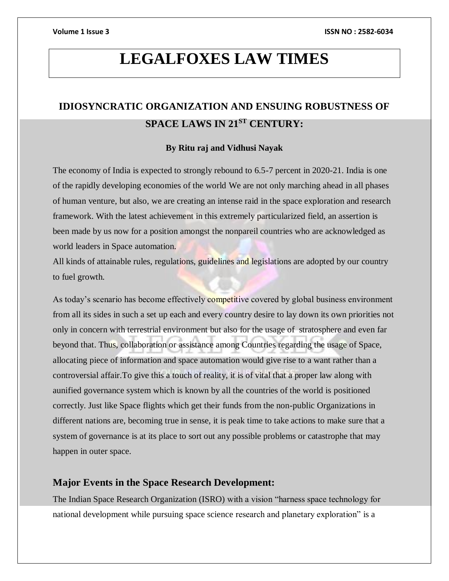# **LEGALFOXES LAW TIMES**

# **IDIOSYNCRATIC ORGANIZATION AND ENSUING ROBUSTNESS OF SPACE LAWS IN 21ST CENTURY:**

## **By Ritu raj and Vidhusi Nayak**

The economy of India is expected to strongly rebound to 6.5-7 percent in 2020-21. India is one of the rapidly developing economies of the world We are not only marching ahead in all phases of human venture, but also, we are creating an intense raid in the space exploration and research framework. With the latest achievement in this extremely particularized field, an assertion is been made by us now for a position amongst the nonpareil countries who are acknowledged as world leaders in Space automation.

All kinds of attainable rules, regulations, guidelines and legislations are adopted by our country to fuel growth.

As today's scenario has become effectively competitive covered by global business environment from all its sides in such a set up each and every country desire to lay down its own priorities not only in concern with terrestrial environment but also for the usage of stratosphere and even far beyond that. Thus, collaboration or assistance among Countries regarding the usage of Space, allocating piece of information and space automation would give rise to a want rather than a controversial affair.To give this a touch of reality, it is of vital that a proper law along with aunified governance system which is known by all the countries of the world is positioned correctly. Just like Space flights which get their funds from the non-public Organizations in different nations are, becoming true in sense, it is peak time to take actions to make sure that a system of governance is at its place to sort out any possible problems or catastrophe that may happen in outer space.

## **Major Events in the Space Research Development:**

The Indian Space Research Organization (ISRO) with a vision "harness space technology for national development while pursuing space science research and planetary exploration" is a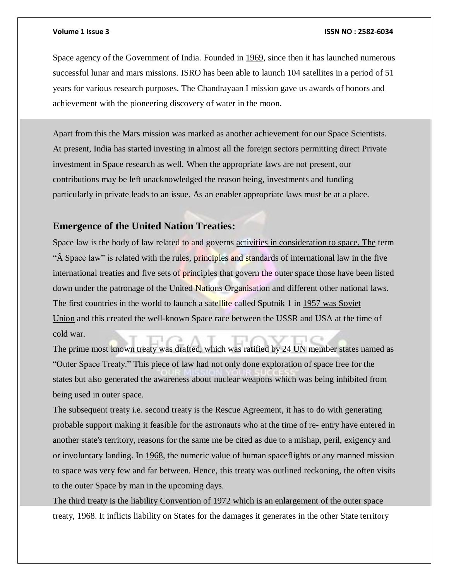Space agency of the Government of India. Founded in [1969,](tel:1969) since then it has launched numerous successful lunar and mars missions. ISRO has been able to launch 104 satellites in a period of 51 years for various research purposes. The Chandrayaan I mission gave us awards of honors and achievement with the pioneering discovery of water in the moon.

Apart from this the Mars mission was marked as another achievement for our Space Scientists. At present, India has started investing in almost all the foreign sectors permitting direct Private investment in Space research as well. When the appropriate laws are not present, our contributions may be left unacknowledged the reason being, investments and funding particularly in private leads to an issue. As an enabler appropriate laws must be at a place.

# **Emergence of the United Nation Treaties:**

Space law is the body of law related to and governs [activities in consideration to space.](http://activities.the/) The term "A Space law" is related with the rules, principles and standards of international law in the five international treaties and five sets of principles that govern the outer space those have been listed down under the patronage of the United Nations Organisation and different other national laws. The first countries in the world to launch a satellite called Sputnik 1 in [1957](tel:1957) was Soviet Union and this created the well-known Space race between the USSR and USA at the time of cold war.

The prime most known treaty was drafted, which was ratified by 24 UN member states named as "Outer Space Treaty." This piece of law had not only done exploration of space free for the states but also generated the awareness about nuclear weapons which was being inhibited from being used in outer space.

The subsequent treaty i.e. second treaty is the Rescue Agreement, it has to do with generating probable support making it feasible for the astronauts who at the time of re- entry have entered in another state's territory, reasons for the same me be cited as due to a mishap, peril, exigency and or involuntary landing. In [1968,](tel:1968) the numeric value of human spaceflights or any manned mission to space was very few and far between. Hence, this treaty was outlined reckoning, the often visits to the outer Space by man in the upcoming days.

The third treaty is the liability Convention of [1972](tel:1972) which is an enlargement of the outer space treaty, 1968. It inflicts liability on States for the damages it generates in the other State territory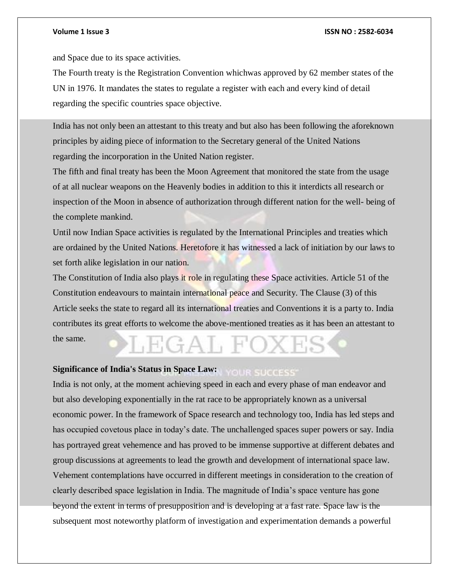and Space due to its space activities.

The Fourth treaty is the Registration Convention whichwas approved by 62 member states of the UN in 1976. It mandates the states to regulate a register with each and every kind of detail regarding the specific countries space objective.

India has not only been an attestant to this treaty and but also has been following the aforeknown principles by aiding piece of information to the Secretary general of the United Nations regarding the incorporation in the United Nation register.

The fifth and final treaty has been the Moon Agreement that monitored the state from the usage of at all nuclear weapons on the Heavenly bodies in addition to this it interdicts all research or inspection of the Moon in absence of authorization through different nation for the well- being of the complete mankind.

Until now Indian Space activities is regulated by the International Principles and treaties which are ordained by the United Nations. Heretofore it has witnessed a lack of initiation by our laws to set forth alike legislation in our nation.

The Constitution of India also plays it role in regulating these Space activities. Article 51 of the Constitution endeavours to maintain international peace and Security. The Clause (3) of this Article seeks the state to regard all its international treaties and Conventions it is a party to. India contributes its great efforts to welcome the above-mentioned treaties as it has been an attestant to the same.

### **Significance of India's Status in Space Law: YOUR SUCCESS**

India is not only, at the moment achieving speed in each and every phase of man endeavor and but also developing exponentially in the rat race to be appropriately known as a universal economic power. In the framework of Space research and technology too, India has led steps and has occupied covetous place in today's date. The unchallenged spaces super powers or say. India has portrayed great vehemence and has proved to be immense supportive at different debates and group discussions at agreements to lead the growth and development of international space law. Vehement contemplations have occurred in different meetings in consideration to the creation of clearly described space legislation in India. The magnitude of India's space venture has gone beyond the extent in terms of presupposition and is developing at a fast rate. Space law is the subsequent most noteworthy platform of investigation and experimentation demands a powerful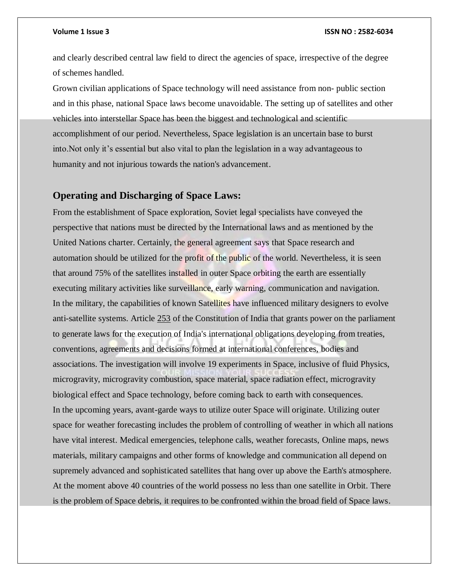and clearly described central law field to direct the agencies of space, irrespective of the degree of schemes handled.

Grown civilian applications of Space technology will need assistance from non- public section and in this phase, national Space laws become unavoidable. The setting up of satellites and other vehicles into interstellar Space has been the biggest and technological and scientific accomplishment of our period. Nevertheless, Space legislation is an uncertain base to burst into.Not only it's essential but also vital to plan the legislation in a way advantageous to humanity and not injurious towards the nation's advancement.

# **Operating and Discharging of Space Laws:**

From the establishment of Space exploration, Soviet legal specialists have conveyed the perspective that nations must be directed by the International laws and as mentioned by the United Nations charter. Certainly, the general agreement says that Space research and automation should be utilized for the profit of the public of the world. Nevertheless, it is seen that around 75% of the satellites installed in outer Space orbiting the earth are essentially executing military activities like surveillance, early warning, communication and navigation. In the military, the capabilities of known Satellites have influenced military designers to evolve anti-satellite systems. Article [253](tel:253) of the Constitution of India that grants power on the parliament to generate laws for the execution of India's international obligations developing from treaties, conventions, agreements and decisions formed at international conferences, bodies and associations. The investigation will involve 19 experiments in Space, inclusive of fluid Physics, microgravity, microgravity combustion, space material, space radiation effect, microgravity biological effect and Space technology, before coming back to earth with consequences. In the upcoming years, avant-garde ways to utilize outer Space will originate. Utilizing outer space for weather forecasting includes the problem of controlling of weather in which all nations have vital interest. Medical emergencies, telephone calls, weather forecasts, Online maps, news materials, military campaigns and other forms of knowledge and communication all depend on supremely advanced and sophisticated satellites that hang over up above the Earth's atmosphere. At the moment above 40 countries of the world possess no less than one satellite in Orbit. There is the problem of Space debris, it requires to be confronted within the broad field of Space laws.